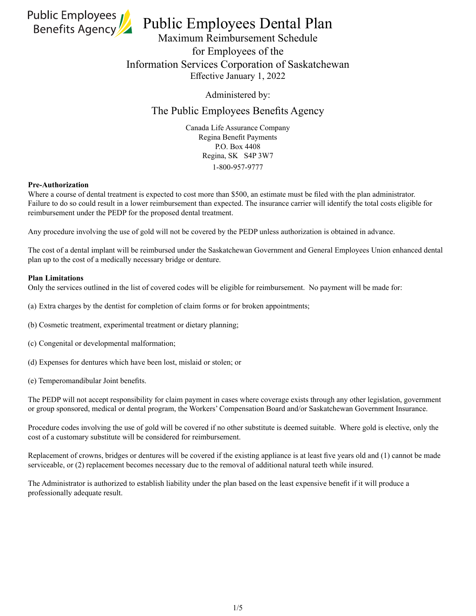

# Public Employees Dental Plan

Maximum Reimbursement Schedule for Employees of the Information Services Corporation of Saskatchewan Effective January 1, 2022

Administered by:

# The Public Employees Benefits Agency

Canada Life Assurance Company Regina Benefit Payments P.O. Box 4408 Regina, SK S4P 3W7 1-800-957-9777

### **Pre-Authorization**

Where a course of dental treatment is expected to cost more than \$500, an estimate must be filed with the plan administrator. Failure to do so could result in a lower reimbursement than expected. The insurance carrier will identify the total costs eligible for reimbursement under the PEDP for the proposed dental treatment.

Any procedure involving the use of gold will not be covered by the PEDP unless authorization is obtained in advance.

The cost of a dental implant will be reimbursed under the Saskatchewan Government and General Employees Union enhanced dental plan up to the cost of a medically necessary bridge or denture.

### **Plan Limitations**

Only the services outlined in the list of covered codes will be eligible for reimbursement. No payment will be made for:

- (a) Extra charges by the dentist for completion of claim forms or for broken appointments;
- (b) Cosmetic treatment, experimental treatment or dietary planning;
- (c) Congenital or developmental malformation;
- (d) Expenses for dentures which have been lost, mislaid or stolen; or
- (e) Temperomandibular Joint benefits.

The PEDP will not accept responsibility for claim payment in cases where coverage exists through any other legislation, government or group sponsored, medical or dental program, the Workers' Compensation Board and/or Saskatchewan Government Insurance.

Procedure codes involving the use of gold will be covered if no other substitute is deemed suitable. Where gold is elective, only the cost of a customary substitute will be considered for reimbursement.

Replacement of crowns, bridges or dentures will be covered if the existing appliance is at least five years old and (1) cannot be made serviceable, or (2) replacement becomes necessary due to the removal of additional natural teeth while insured.

The Administrator is authorized to establish liability under the plan based on the least expensive benefit if it will produce a professionally adequate result.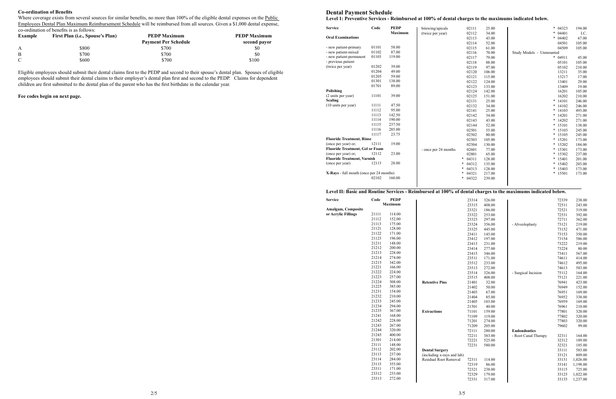# **Dental Payment Schedule**

 $S$ **ervice** 

| <b>Service</b>                           | Code  | <b>PEDP</b>    | bitewing/apicals     | 02111      | 25.00  | *<br>04323               | 194.00 |
|------------------------------------------|-------|----------------|----------------------|------------|--------|--------------------------|--------|
|                                          |       | <b>Maximum</b> | (twice per year)     | 02112      | 34.00  | *<br>04401               | I.C.   |
| <b>Oral Examinations</b>                 |       |                |                      | 02113      | 43.00  | $\ast$<br>04402          | 67.00  |
|                                          |       |                |                      | 02114      | 52.00  | 04501                    | 105.00 |
| - new patient-primary                    | 01101 | 58.00          |                      | 02115      | 61.00  | 04509                    | 105.00 |
| - new patient-mixed                      | 01102 | 87.00          |                      | 02116      | 70.00  | Study Models - Unmounted |        |
| - new patient-permanent                  | 01103 | 119.00         |                      | 02117      | 79.00  | $* 04911$                | 45.00  |
| - previous patient                       |       |                |                      | 02118      | 88.00  | 05101                    | 105.00 |
| (twice per year)                         | 01202 | 39.00          |                      | 02119      | 97.00  | 05102                    | 210.00 |
|                                          | 01204 | 49.00          |                      | 02120      | 106.00 | 13211                    | 35.00  |
|                                          | 01205 | 59.00          |                      | 02121      | 115.00 | 13217                    | 17.00  |
|                                          | 01301 | 138.00         |                      | 02122      | 124.00 | 13401                    | 29.00  |
|                                          | 01701 | 89.00          |                      | 02123      | 133.00 | 13409                    | 19.00  |
| Polishing                                |       |                |                      | 02124      | 142.00 | 16201                    | 105.00 |
| (2 units per year)                       | 11101 | 39.00          |                      | 02125      | 151.00 | 16202                    | 210.00 |
| <b>Scaling</b>                           |       |                |                      | 02131      | 25.00  | $\ast$<br>14101          | 246.00 |
| (10 units per year)                      | 11111 | 47.50          |                      | 02132      | 34.00  | $\ast$<br>14102          | 246.00 |
|                                          | 11112 | 95.00          |                      | 02141      | 25.00  | 14103<br>*               | 493.00 |
|                                          | 11113 | 142.50         |                      | 02142      | 34.00  | 14201<br>$\ast$          | 271.00 |
|                                          | 11114 | 190.00         |                      | 02143      | 43.00  | $\ast$<br>14202          | 271.00 |
|                                          | 11115 | 237.50         |                      | 02144      | 52.00  | *<br>15101               | 138.00 |
|                                          | 11116 | 285.00         |                      | 02501      | 55.00  | *<br>15103               | 245.00 |
|                                          | 11117 | 23.75          |                      | 02502      | 80.00  | $* 15105$                | 245.00 |
| <b>Fluoride Treatment, Rinse</b>         |       |                |                      | 02503      | 105.00 | $\ast$<br>15201          | 173.00 |
| (once per year) or;                      | 12111 | 19.00          |                      | 02504      | 130.00 | $\ast$<br>15202          | 184.00 |
| <b>Fluoride Treatment, Gel or Foam</b>   |       |                | - once per 24 months | 02601      | 77.00  | *<br>15301               | 173.00 |
| (once per year) or;                      | 12112 | 23.00          |                      | 02801      | 65.00  | *<br>15302               | 237.00 |
| <b>Fluoride Treatment, Varnish</b>       |       |                |                      | 04311<br>* | 128.00 | $\ast$<br>15401          | 201.00 |
| (once per year)                          | 12113 | 28.00          |                      | 04312<br>* | 135.00 | $*15402$                 | 203.00 |
|                                          |       |                |                      | *<br>04313 | 128.00 | $\ast$<br>15403          | 173.00 |
| X-Rays - full mouth (once per 24 months) |       |                |                      | 04321<br>* | 217.00 | * 15501                  | 173.00 |
|                                          | 02102 | 160.00         |                      | 04322<br>* | 239.00 |                          |        |
|                                          |       |                |                      |            |        |                          |        |

|  | Level 1: Preventive Services - Reimbursed at 100% of dent |  |  |
|--|-----------------------------------------------------------|--|--|
|  |                                                           |  |  |

#### **Level II: Basic and Routine Services - Reimbursed at 100% of dental charges to the maximums indicated below.**

Where coverage exists from several sources for similar benefits, no more than 100% of the eligible dental expenses on the Public Employees Dental Plan Maximum Reimbursement Schedule will be reimbursed from all sources. Given a \$1,000 dental expense, co‑ordination of benefits is as follows:

| <b>Service</b>            | Code  | <b>PEDP</b>    |                            | 23314 | 326.00 |                      | 72339 | 238.00   |
|---------------------------|-------|----------------|----------------------------|-------|--------|----------------------|-------|----------|
|                           |       | <b>Maximum</b> |                            | 23315 | 408.00 |                      | 72511 | 243.00   |
| <b>Amalgam, Composite</b> |       |                |                            | 23321 | 186.00 |                      | 72521 | 319.00   |
| or Acrylic Fillings       | 21111 | 114.00         |                            | 23322 | 253.00 |                      | 72531 | 392.00   |
|                           | 21112 | 152.00         |                            | 23323 | 297.00 |                      | 72711 | 362.00   |
|                           | 21113 | 175.00         |                            | 23324 | 356.00 | - Alveoloplasty      | 73121 | 219.00   |
|                           | 21121 | 128.00         |                            | 23325 | 445.00 |                      | 73152 | 471.00   |
|                           | 21122 | 171.00         |                            | 23411 | 145.00 |                      | 73153 | 350.00   |
|                           | 21123 | 196.00         |                            | 23412 | 197.00 |                      | 73154 | 586.00   |
|                           | 21211 | 148.00         |                            | 23413 | 231.00 |                      | 73222 | 219.00   |
|                           | 21212 | 200.00         |                            | 23414 | 277.00 |                      | 73224 | 80.00    |
|                           | 21213 | 228.00         |                            | 23415 | 346.00 |                      | 73411 | 567.00   |
|                           | 21214 | 274.00         |                            | 23511 | 171.00 |                      | 74611 | 414.00   |
|                           | 21215 | 342.00         |                            | 23512 | 233.00 |                      | 74612 | 495.00   |
|                           | 21221 | 166.00         |                            | 23513 | 272.00 |                      | 74613 | 583.00   |
|                           | 21222 | 224.00         |                            | 23514 | 326.00 | - Surgical Incision  | 75112 | 164.00   |
|                           | 21223 | 257.00         |                            | 23515 | 408.00 |                      | 75121 | 221.00   |
|                           | 21224 | 308.00         | <b>Retentive Pins</b>      | 21401 | 32.00  |                      | 76941 | 423.00   |
|                           | 21225 | 385.00         |                            | 21402 | 50.00  |                      | 76949 | 152.00   |
|                           | 21231 | 154.00         |                            | 21403 | 67.00  |                      | 76951 | 169.00   |
|                           | 21232 | 210.00         |                            | 21404 | 85.00  |                      | 76952 | 338.00   |
|                           | 21233 | 245.00         |                            | 21405 | 103.00 |                      | 76959 | 169.00   |
|                           | 21234 | 294.00         |                            | 21501 | 40.00  |                      | 76961 | 210.00   |
|                           | 21235 | 367.00         | <b>Extractions</b>         | 71101 | 159.00 |                      | 77801 | 320.00   |
|                           | 21241 | 168.00         |                            | 71109 | 119.00 |                      | 77802 | 320.00   |
|                           | 21242 | 228.00         |                            | 71201 | 274.00 |                      | 77803 | 320.00   |
|                           | 21243 | 267.00         |                            | 71209 | 205.00 |                      | 79602 | 99.00    |
|                           | 21244 | 320.00         |                            | 72111 | 280.00 | <b>Endondontics</b>  |       |          |
|                           | 21245 | 400.00         |                            | 72211 | 383.00 | - Root Canal Therapy | 32311 | 164.00   |
|                           | 21301 | 214.00         |                            | 72221 | 525.00 |                      | 32312 | 189.00   |
|                           | 23111 | 148.00         |                            | 72231 | 580.00 |                      | 32321 | 185.00   |
|                           | 23112 | 202.00         | <b>Dental Surgery</b>      |       |        |                      | 33111 | 583.00   |
|                           | 23113 | 237.00         | (including x-rays and lab) |       |        |                      | 33121 | 809.00   |
|                           | 23114 | 284.00         | Residual Root Removal      | 72311 | 114.00 |                      | 33131 | 1,026.00 |
|                           | 23115 | 355.00         |                            | 72319 | 86.00  |                      | 33141 | 1,198.00 |
|                           | 23311 | 171.00         |                            | 72321 | 238.00 |                      | 33115 | 725.00   |
|                           | 23312 | 233.00         |                            | 72329 | 179.00 |                      | 33125 | 1,022.00 |
|                           | 23313 | 272.00         |                            | 72331 | 317.00 |                      | 33135 | 1,237.00 |
|                           |       |                |                            |       |        |                      |       |          |

### tal charges to the maximums indicated below.

#### **Co-ordination of Benefits**

| <b>Example</b> | First Plan (i.e., Spouse's Plan) | <b>PEDP Maximum</b>         | <b>PEDP Maximum</b> |  |
|----------------|----------------------------------|-----------------------------|---------------------|--|
|                |                                  | <b>Payment Per Schedule</b> | second payor        |  |
| $\mathbf{A}$   | \$800                            | \$700                       | \$0                 |  |
| B              | \$700                            | \$700                       | \$0                 |  |
|                | \$600                            | \$700                       | \$100               |  |

Eligible employees should submit their dental claims first to the PEDP and second to their spouse's dental plan. Spouses of eligible employees should submit their dental claims to their employer's dental plan first and second to the PEDP. Claims for dependent children are first submitted to the dental plan of the parent who has the first birthdate in the calendar year.

**Fee codes begin on next page.**